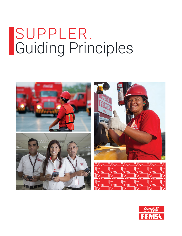# SUPPLER. Guiding Principles



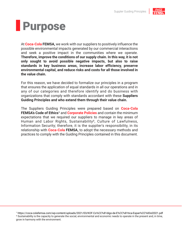# **Purpose**

At **Coca-Cola FEMSA,** we work with our suppliers to positively influence the possible environmental impacts generated by our commercial interactions and seek a positive impact in the communities where we operate. **Therefore, improve the conditions of our supply chain. In this way, it is not only sought to avoid possible negative impacts, but also to raise standards in key business areas, increase labor efficiency, preserve environmental capital, and reduce risks and costs for all those involved in the value chain.**

For this reason, we have decided to formalize our principles in a program that ensures the application of equal standards in all our operations and in any of our categories and therefore identify and do business with organizations that comply with standards accordant with these **Suppliers Guiding Principles and who extend them through their value chain.**

The Suppliers Guiding Principles were prepared based on **Coca-Cola FEMSA's Code of Ethics<sup>1</sup> and Corporate Policies** and contain the minimum expectations that we required our suppliers to manage in key areas of Human and Labor Rights, Sustainability², Culture of Lawfulness, Information Security; therefore, it is the supplier's responsibility, in its relationship with **Coca-Cola FEMSA,** to adopt the necessary methods and practices to comply with the Guiding Principles contained in this document.

<sup>1</sup> https://coca-colafemsa.com/wp-content/uploads/2021/03/KOF-Co%CC%81digo-de-E%CC%81tica-Espan%CC%83ol2021.pdf ² Sustainability is the capacity to generate the social, environmental and economic needs to operate in the present and, in time, grow in harmony with the environment.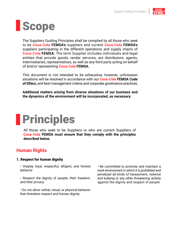# **Scope**

The Suppliers Guiding Principles shall be complied by all those who seek to be **Coca-Cola FEMSA's** suppliers and current **Coca-Cola FEMSA's** suppliers participating in the different operations and supply chains of **Coca-Cola FEMSA.** The term Supplier includes individuals and legal entities that provide goods, render services, are distributors, agents, intermediaries, representatives, as well as any third party acting on behalf of and/or representing **Coca-Cola FEMSA.**

This document is not intended to be exhaustive, however, unforeseen situations will be resolved in accordance with our **Coca-Cola FEMSA Code of Ethics,** and best management criteria and corporate governance practices.

**Additional matters arising from diverse situations of our business and the dynamics of the environment will be incorporated, as necessary.**



All those who seek to be Suppliers or who are current Suppliers of **Coca-Cola FEMSA must ensure that they comply with the principles described below.**

### **Human Rights**

#### 1. Respect for human dignity

- Display loyal, respectful, diligent, and honest behavior
- Respect the dignity of people, their freedom, and their privacy
- Do not allow verbal, visual, or physical behavior that threatens respect and human dignity

• Be committed to promote and maintain a work environment in which it is prohibited and penalized all kinds of harassment, violence and bullying or any other threatening activity against the dignity and respect of people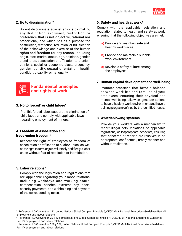

#### 2. No to discrimination<sup>3</sup>

Do not discriminate against anyone by making any distinction, exclusion, restriction, or preference that is not objective, rational nor proportional, and which has as a purpose the obstruction, restriction, reduction, or nullification of the acknowledge and exercise of the human rights and freedom for any reason, including origin, race, marital status, age, opinions, gender, creed, tribe, association or affiliation to a union, ethnicity, social or economic class, pregnancy, gender identity, sexual orientation, health condition, disability, or nationality.



### **Fundamental principles and rights at work**

#### 3. No to forced<sup>4</sup> or child laboro<sup>5</sup>

Prohibit forced labor, support the elimination of child labor, and comply with applicable laws regarding employment of minors.

#### 4. Freedom of association and trade-union freedom<sup>6</sup>

Respect the right of employees to freedom of association or affiliation to a labor union, as well as the right to form or join, voluntarily and freely, a labor union without fear of retaliation or intimidation.

#### 5. Labor relations7

Comply with the legislation and regulations that are applicable regarding your labor relations, including workdays and working hours, compensation, benefits, overtime pay, social security payments, and withholding and payment of the corresponding taxes.

#### 6. Safety and health at work<sup>8</sup>

Comply with the applicable legislation and regulation related to health and safety at work, ensuring that the following objectives are met:

- **a)** Provide and maintain safe and healthy workplaces.
- **b)** Provide and maintain a suitable work environment.
- **c)** Develop a safety culture among the employees

#### 7. Human capital development and well-being

Promote practices that favor a balance between work life and families of your employees, ensuring their physical and mental well-being. Likewise, generate actions to have a healthy work environment and have a training program defined by the identified needs.

#### 8. Whistleblowing systems

Provide your workers with a mechanism to report illegal acts, violations of applicable regulations, or inappropriate behaviors, ensuring that concerns or reports are resolved in an appropriate, confidential, timely manner and without retaliation.

<sup>3</sup> Reference: ILO Convention 111, United Nations Global Compact Principle 6, OECD Multi National Enterprises Guidelines Part I-V employment and labour relations

<sup>4</sup> Reference: ILO Convention 29 y 105, United Nations Global Compact Principle 4, OECD Multi National Enterprises Guidelines Part I-V employment and labour relations

<sup>5</sup> Reference: ILO Convention 138 y 182, United Nations Global Compact Principle 5, OECD Multi National Enterprises Guidelines Part I-V employment and labour relations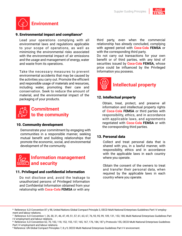



#### 9. Environmental impact and compliance<sup>9</sup>

Lead your operations complying with all environmental laws and regulations applicable to your scope of operations, as well as minimizing the environmental risks associated with the environmental impact of air emissions and the usage and management of energy, water and waste from its operations.

Take the necessary measures to prevent environmental accidents that may be caused by the activities you carry out. Promote the efficient and responsible usage of materials and resources, including water, promoting their care and conservation. Seek to reduce the amount of material, and the environmental impact of the packaging of your products.



#### 10. Community development

Demonstrate your commitment by engaging with communities in a responsible manner, seeking mutual benefit and building relationships that promote the economic, social, and environmental development of the community.



#### 11. Privileged and confidential information

Do not disclose and, avoid the leakage to unauthorized persons of Privileged Information and Confidential Information obtained from your relationship with **Coca-Cola FEMSA** or with any

third party, even when the commercial relationship has already concluded, complying with agreed period with **Coca-Cola FEMSA** or with the corresponding third party.

Do not carry out transactions for your own benefit or of third parties, with any kind of securities issued by **Coca-Cola FEMSA,** whose price could be influenced by the Privileged Information you possess.



#### 12. Intellectual property

Obtain, treat, protect, and preserve all information and intellectual property rights of **Coca-Cola FEMSA** or third parties with responsibility, ethics, and in accordance with applicable laws, and agreements negotiated with **Coca-Cola FEMSA** or with the corresponding third parties.

#### 13. Personal data

Collect and treat personal data that is shared with you, in a lawful manner, with responsibility, ethics and in accordance with the applicable laws in each country where you operate.

Obtain the consent of the owners to treat and transfer their personal data, when required by the applicable laws in each country where you operate.

<sup>6</sup> Reference: ILO Convention 87 y 98, United Nations Global Compact Principle 3, OECD Multi National Enterprises Guidelines Part I-V employment and labour relations.

<sup>7</sup> Reference: ILO Convention 1, 26, 30, 31, 46, 47, 49, 51, 57, 61, 63, 67, 76, 93, 95, 99, 109, 131, 153, 180, Multi National Enterprises Guidelines Part I-V employment and labour relations.

<sup>8</sup> Reference: ILO Convention 62, 70, 102, 118, 152, 155, 157, 165, 167, 176, 184, 187 y Protocolo 155, OECD Multi National Enterprises Guidelines Part I-V employment and labour relations.

<sup>9</sup> Reference: UN Global Compact Principles 7, 8 y 9, OECD Multi National Enterprises Guidelines Part I-V environment.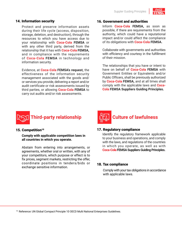#### 14. Information security

Protect and preserve information assets during their life cycle (access, disposition, storage, deletion, and destruction), through the resources to which you have access due to your relationship with **Coca-Cola FEMSA** or with any other third party, derived from the relationship that it has with **Coca-Cola FEMSA,** and in compliance with the requirements of **Coca-Cola FEMSA** in technology and information security.

Evidence, at **Coca-Cola FEMSA's request,** the effectiveness of the information security management associated with the goods and/ or services you provide, delivering a report and/or audit certificate or risk assessments issued by third parties, or allowing **Coca-Cola FEMSA** to carry out audits and/or risk assessments.

#### 16. Government and authorities

Inform **Coca-Cola FEMSA,** as soon as possible, if there are requirements from the authority, which could have a reputational impact and/or could affect the compliance of its obligations with **Coca-Cola FEMSA.** 

Collaborate with governments and authorities with efficiency and courtesy in the fulfillment of their mission.

The relationships that you have or intent to have on behalf of **Coca-Cola FEMSA** with Government Entities or Equivalents and/or Public Officers, shall be previously authorized by **Coca-Cola FEMSA,** and at all times shall comply with the applicable laws and **Coca-Cola FEMSA Suppliers Guiding Principles.**



**Comply with applicable competition laws in all countries in which you operate.**

Abstain from entering into arrangements, or agreements, whether oral or written, with any of your competitors, which purpose or effect is to fix prices, segment markets, restricting the offer, coordinate positions in tenders/bids or exchange sensitive information.



#### 15. Competition<sup>10</sup> 17. Regulatory compliance

Identify the regulatory framework applicable to your business and operations, and comply with the laws, and regulations of the countries in which you operate, as well as with **Coca-Cola FEMSA Suppliers Guiding Principles.** 

#### 18. Tax compliance

Comply with your tax obligations in accordance with applicable laws.

<sup>10</sup> Reference: UN Global Compact Principle 10 OECD Multi National Enterprises Guidelines.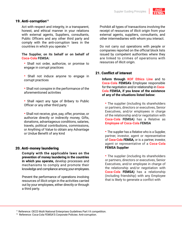

#### 19. Anti-corruption<sup>11</sup>

Act with respect and integrity, in a transparent, honest, and ethical manner in your relations with external agents, Suppliers, consultants, Public Officers and any other third party and comply with the anti-corruption laws in the countries in which you operate.<sup>12</sup>

**The Supplier, on its behalf or on behalf of Coca-Cola FEMSA:** 

- Shall not order, authorize, or promise to engage in corrupt practices
- Shall not induce anyone to engage in corrupt practices
- Shall not conspire in the performance of the aforementioned activities
- Shall reject any type of Bribery to Public Officer or any other third party
- Shall not receive, give, pay, offer, promise, or authorize directly or indirectly money, Gifts, donations, advantageous conditions, salaries, travels, political contributions, commissions, or Anything of Value to obtain any Advantage or Undue Benefit of any kind

#### 20. Anti-money laundering

**Comply with the applicable laws on the prevention of money laundering in the countries in which you operate,** develop processes and mechanisms to comply and promote their knowledge and compliance among your employees.

Prevent the performance of operations involving resources of illicit origin in the activities carried out by your employees, either directly or through a third party.

Prohibit all types of transactions involving the receipt of resources of illicit origin from your external agents, suppliers, consultants, and other intermediaries with whom you interact.

Do not carry out operations with people or companies reported on the official block lists issued by competent authorities where they are linked to crimes of operations with resources of illicit origin.

#### 21. Conflict of interest

**Inform through KOF Ethics Line** and to **Coca-Cola FEMSA's** Employee responsible for the negotiation and/or relationship in **Coca-Cola FEMSA, if you know of the existence of any of the situations listed below:**

• The supplier (including its shareholders or partners, directors or executives, Senior Executives, and/or employees in charge of the relationship and/or negotiation with **Coca-Cola FEMSA)** has a Relative as **Employee of Coca-Cola FEMSA**

• The supplier has a Relative who is a Supplier, partner, investor, agent or representative of **Coca-Cola FEMSA,** or is a partner, investor, agent or representative of a **Coca-Cola FEMSA Supplier**

• The supplier (including its shareholders or partners, directors or executives, Senior Executives, and/or employee in charge of the relationship and/or negotiation with **Coca-Cola FEMSA)** has a relationship (including friendship) with any Employee that is likely to generate a conflict with

<sup>11</sup> Reference: OECD Multi National Enterprises Guidelines Part l-X competition.

<sup>12</sup> Reference: Coca-Cola FEMSA'S Corporate Policies: Anti-corruption.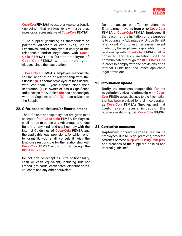

• The supplier (including its shareholders or partners, directors or executives, Senior Executives, and/or employee in charge of the relationship and/or negotiation with **Coca-Cola FEMSA)** is a former employee of **Coca-Cola FEMSA,** with less than 1 year elapsed since their separation

• **Coca-Cola FEMSA´s** employee responsible for the negotiation or relationship with the Supplier: **(i)** Is a former employee of the Supplier, with less than 1 year elapsed since their separation; **(ii)** is owner or has a Significant Influence on the Supplier; **(iii)** has a second job with the Supplier; and/or **(iv)** is an advisor to the Supplier

#### 22. Gifts, hospitalities and/or Entertainment

The Gifts and/or hospitality that are given to or accepted from **Coca-Cola FEMSA Employees,** shall not be to obtain any Advantage or Undue Benefit of any kind, and shall comply with the Internal Guidelines of **Coca-Cola FEMSA** and the applicable legal provisions, for which, prior to grant it, you shall consult it with the Employee responsible for the relationship with **Coca-Cola FEMSA** and inform it through the **KOF Ethics Line.**

Do not give or accept as Gifts or hospitality, cash or cash equivalent, including but not limited, gift cards, certificates, discount cards, vouchers and any other equivalent.

Do not accept or offer invitations to Entertainment events from or to **Coca-Cola FEMSA** or **Coca-Cola FEMSA Employees,** if the reason for the invitation or the purpose is to obtain any Advantage or Undue Benefit of any kind. Prior to an Entertainment event invitation, the employee responsible for the relationship with **Coca-Cola FEMSA** shall be consulted and such invitation shall be communicated through the **KOF Ethics Line** in order to comply with the provisions of its Internal Guidelines and other applicable legal provisions.

#### 23. Information update

**Notify the employee responsible for the negotiation and/or relationship with Coca-Cola FEMSA** about changes to the information that has been provided for their incorporation as **Coca-Cola FEMSA's Supplier,** and that could have a material impact on the business relationship with **Coca-Cola FEMSA.**

#### 24. Corrective measures

Implement corrective measures for its employees, due to illegal practices, detected breaches of these **Suppliers Guiding Principles,** and breaches of the supplier's policies and internal guidelines.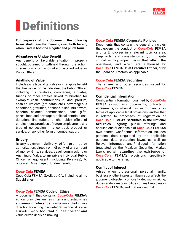

### **Definitions**

**For purposes of this document, the following terms shall have the meanings set forth herein, when used in both the singular and plural form.**

#### Advantage or Undue Benefit

Any benefit or favorable situation improperly sought, obtained or withheld through the action, intervention or omission of a private individual or Public Officer.

#### Anything of Value

Includes any type of tangible or intangible benefit that has value for the individual, the Public Officer, including his relatives, companies, affiliates, friends or other entities linked to him/her, for example: cash, contributions in kind, product, cash equivalents (gift cards, etc.), advantageous conditions, gratuities, bonuses, discounts, favors, benefits, salaries, commissions, loans, gifts, prizes, food and beverages, political contributions, donations (institutional or charitable), offers of employment, promises of future employment, any type of concession in a contract, product or service, or any other form of compensation.

#### Bribery

Is any payment, delivery, offer, promise or authorization, directly or indirectly, of any amount of money, Gifts, services, travel, commissions or Anything of Value, to any private individual, Public Officer or equivalent (including Relatives), to obtain an Advantage or Undue Benefit.

#### Coca-Cola FEMSA

Coca-Cola FEMSA, S.A.B. de C.V. including all its Subsidiaries.

#### Coca-Cola FEMSA Code of Ethics

A document that contains **Coca-Cola FEMSA's** ethical principles, unifies criteria and establishes a common reference framework that gives direction for acting in an integral manner, it is also a useful work tool that guides correct and value-driven decision-making.

#### Coca-Cola FEMSA Corporate Policies

Documents that contain the general principles that govern the conduct of **Coca-Cola FEMSA** and its Employees in a relevant topic or area, keep order and consistency and/or mitigate critical or high-impact risks that affect the operations, and which are authorized by **Coca-Cola FEMSA Chief Executive Officer,** or by the Board of Directors, as applicable.

#### Coca-Cola FEMSA Securities

The shares and other securities issued by **Coca-Cola FEMSA.**

#### Confidential Information

Confidential information qualified by **Coca-Cola FEMSA,** as such as in documents, contracts or agreements, or when it has such character in terms of applicable legal provisions, and/or that is related to processes of registration of **Coca-Cola FEMSA's Securities in the National Securities Registry,** public offerings and acquisitions or disposals of **Coca-Cola FEMSA's**  own shares. Confidential Information includes personal data (regulated by the applicable personal data protection laws), as well as Relevant Information and Privileged Information (regulated by the Mexican Securities Market Law), notwithstanding the existence of **Coca-Cola FEMSA's** provisions specifically applicable to the latter.

#### Conflict of Interest

Arises when professional, personal, family, business or other interests influences or affects the judgment, objectivity or loyalty, decision-making, duties and/or responsibilities of any Employee in **Coca-Cola FEMSA,** and that implies that: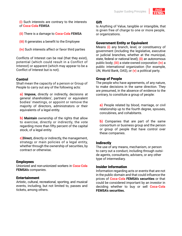

**(i)** Such interests are contrary to the interests of **Coca-Cola FEMSA**

**(ii)** There is a damage to **Coca-Cola FEMSA**

- **(iii)** It generates a benefit to the Employee
- **(iv)** Such interests affect or favor third parties

Conflicts of Interest can be real (that they exist), potential (which could result in a Conflict of Interest) or apparent (which may appear to be a Conflict of Interest but is not).

#### Control

Shall mean the capacity of a person or Group of People to carry out any of the following acts:

**a) Impose,** directly or indirectly, decisions at general shareholders', partners' or equivalent bodies' meetings, or appoint or remove the majority of directors, administrators or their equivalents of a legal entity.

**b) Maintain** ownership of the rights that allow to exercise, directly or indirectly, the vote regarding more than fifty percent of the capital stock, of a legal entity.

**c)Direct,** directly or indirectly, the management, strategy or main policies of a legal entity, whether through the ownership of securities, by contract or otherwise.

#### **Employees**

Unionized and non-unionized workers in **Coca-Cola FEMSA's** companies.

#### **Entertainment**

Artistic, cultural, recreational, sporting, and musical events, including, but not limited to, passes and tickets, among others.

#### Gift

Is Anything of Value, tangible or intangible, that is given free of charge to one or more people, or organizations.

#### Government Entity or Equivalent

Means **(i)** any branch, level, or constituency of government (including the legislative, executive or judicial branches, whether at the municipal, state, federal or national level); **(ii)** an autonomous public body; **(iii)** a state-owned corporation **(iv)** a public international organization (for example, UN, World Bank, OAS), or **(v)** a political party.

#### Group of People

The people who have agreements, of any nature, to make decisions in the same direction. They are presumed, in the absence of evidence to the contrary, to constitute a group of people:

**a)** People related by blood, marriage, or civil relationship up to the fourth degree, spouses, concubines, and cohabitants.

**b)** Companies that are part of the same consortium or business group and the person or group of people that have control over these companies.

#### **Indirectly**

The use of any means, mechanism, or person to carry out a conduct, including through outside agents, consultants, advisers, or any other type of intermediary.

#### Insider Information

Information regarding acts or events that are not in the public domain and that could influence the prices of **Coca-Cola FEMSA's securities** or that could be considered important by an investor in deciding whether to buy or sell **Coca-Cola FEMSA's securities.**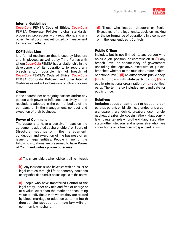

#### Internal Guidelines

**Coca-Cola FEMSA Code of Ethics, Coca-Cola FEMSA Corporate Policies,** global standards, processes, procedures, work regulations, and any other internal document authorized by management to have such effects.

#### KOF Ethics Line

Is a formal mechanism that is used by Directors and Employees, as well as by Third Parties with whom **Coca-Cola FEMSA** has a relationship in the development of its operations, to report any breach and/or possible risk of breach of **Coca-Cola FEMSA's Code of Ethics, Coca-Cola FEMSA Corporate Policies,** and other Internal Guidelines as well as to address any doubts or concerns.

#### **Owner**

Is the shareholder or majority partner, and/or any person with power to influence decisively on the resolutions adopted in the control bodies of the company, or in the management, conduct and execution of their business.

#### Power of Command

The capacity to have a decisive impact on the agreements adopted at shareholders' or Board of Directors' meetings, or in the management, conduction and execution of the business of an issuer or legal entities. People in any of the following situations are presumed to have **Power of Command, unless proven otherwise:**

**a)** The shareholders who hold controlling interest.

**b)** Any Individuals who have ties with an issuer or legal entities through life or honorary positions or any other title similar or analogous to the above.

**c)** People who have transferred Control of the legal entity under any title and free of charge or at a value lower than the market or accounting value to individuals with whom they are related by blood, marriage or adoption up to the fourth degree, the spouse, common-law wife or common-law husband.

**d)** Those who instruct directors or Senior Executives of the legal entity, decision- making or the performance of operations in a company or in the legal entities it Controls.

#### Public Officer

Includes, but is not limited to, any person who holds a job, position, or commission in **(i)** any branch, level or constituency of government (including the legislative, executive or judicial branches, whether at the municipal, state, federal or national level); **(ii)** an autonomous public body. **(iii)** A company with state participation; **(iv)** a public international organization; or **(v)** a political party. The term also includes any candidate for public office.

#### Relatives

Includes spouse, same-sex or opposite-sex partner, parent, child, sibling, grandparent, greatgrandparent, grandchild, great-grandson, uncle, nephew, great-uncle, cousin, father-in-law, son-inlaw, daughter-in-law, brother-in-law, stepfather, stepmother, stepson, and anyone else who lives in our home or is financially dependent on us.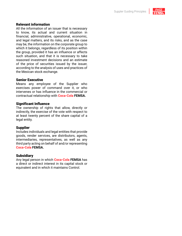

#### Relevant information

All the information of an issuer that is necessary to know, its actual and current situation in financial, administrative, operational, economic, and legal matters, and its risks, and as the case may be, the information on the corporate group to which it belongs, regardless of its position within the group, provided it has an influence or affects such situation, and that it is necessary to take reasoned investment decisions and an estimate of the price of securities issued by the issuer, according to the analysis of uses and practices of the Mexican stock exchange.

#### Senior Executive

Means any employee of the Supplier who exercises power of command over it, or who intervenes or has influence in the commercial or contractual relationship with **Coca-Cola FEMSA.**

#### Significant Influence

The ownership of rights that allow, directly or indirectly, the exercise of the vote with respect to at least twenty percent of the share capital of a legal entity.

#### Supplier

Includes individuals and legal entities that provide goods, render services, are distributors, agents, intermediaries, representatives, as well as any third party acting on behalf of and/or representing **Coca-Cola FEMSA.**

#### **Subsidiary**

Any legal person in which **Coca-Cola FEMSA** has a direct or indirect interest in its capital stock or equivalent and in which it maintains Control.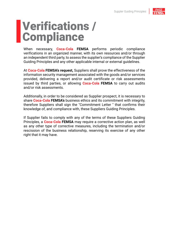

### Verifications / **Compliance**

When necessary, **Coca-Cola FEMSA** performs periodic compliance verifications in an organized manner, with its own resources and/or through an independent third party, to assess the supplier's compliance of the Supplier Guiding Principles and any other applicable internal or external guidelines.

At **Coca-Cola FEMSA's request,** Suppliers shall prove the effectiveness of the information security management associated with the goods and/or services provided, delivering a report and/or audit certificate or risk assessments issued by third parties, or allowing **Coca-Cola FEMSA** to carry out audits and/or risk assessments.

Additionally, in order to be considered as Supplier prospect, it is necessary to share **Coca-Cola FEMSA's** business ethics and its commitment with integrity, therefore Suppliers shall sign the "Commitment Letter " that confirms their knowledge of, and compliance with, these Suppliers Guiding Principles.

If Supplier fails to comply with any of the terms of these Suppliers Guiding Principles, a **Coca-Cola FEMSA** may require a corrective action plan, as well as any other type of corrective measures, including the termination and/or rescission of the business relationship, reserving its exercise of any other right that it may have.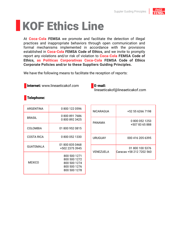### KOF Ethics Line

At **Coca-Cola FEMSA** we promote and facilitate the detection of illegal practices and inappropriate behaviors through open communication and formal mechanisms implemented in accordance with the provisions established in **Coca-Cola FEMSA Code of Ethics,** and we invite to promptly report any violations and/or risk of violation to **Coca-Cola FEMSA Code of Ethics, as Políticas Corporativas Coca-Cola FEMSA Code of Ethics Corporate Policies and/or to these Suppliers Guiding Principles.** 

We have the following means to facilitate the reception of reports:

**Internet:** www.lineaeticakof.com

E-mail:

lineaeticakof@lineaeticakof.com

### Telephone:

| ARGENTINA     | 0 800 122 0596                                                               |
|---------------|------------------------------------------------------------------------------|
| BRASIL        | 0 800 891 7686<br>08008923425                                                |
| COLOMBIA      | 01 800 952 0815                                                              |
| COSTA RICA    | 08000521330                                                                  |
| GUATEMALA     | 01 800 835 0468<br>+502 2375 3945                                            |
| <b>MEXICO</b> | 800 500 1271<br>800 500 1272<br>800 500 1274<br>800 500 1276<br>800 500 1278 |

| NICARAGUA        | +52 55 6266 7198                            |
|------------------|---------------------------------------------|
| PANAMA           | 0 800 052 1253<br>+507 83 65 888            |
| URUGUAY          | 000 416 205 6395                            |
| <b>VENEZUELA</b> | 01 800 100 5376<br>Caracas +58 212 7202 560 |

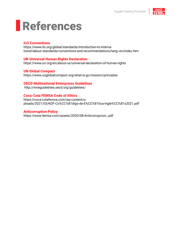

## **References**

#### ILO Conventions

https://www.ilo.org/global/standards/introduction-to-international-labour-standards/conventions-and-recommendations/lang--en/index.htm

#### UN Universal Human Rights Declaration

https://www.un.org/en/about-us/universal-declaration-of-human-rights

#### UN Global Compact https://www.unglobalcompact.org/what-is-gc/mission/principles

#### OECD Multinational Enterprises Guidelines

http://mneguidelines.oecd.org/guidelines/

#### Coca-Cola FEMSA Code of Ethics

https://coca-colafemsa.com/wp-content/uploads/2021/03/KOF-Co%CC%81digo-de-E%CC%81tica-Ingle%CC%81s2021.pdf

#### Anticorruption Policy https://www.femsa.com/assets/2020/08/Anticorrupcion\_.pdf